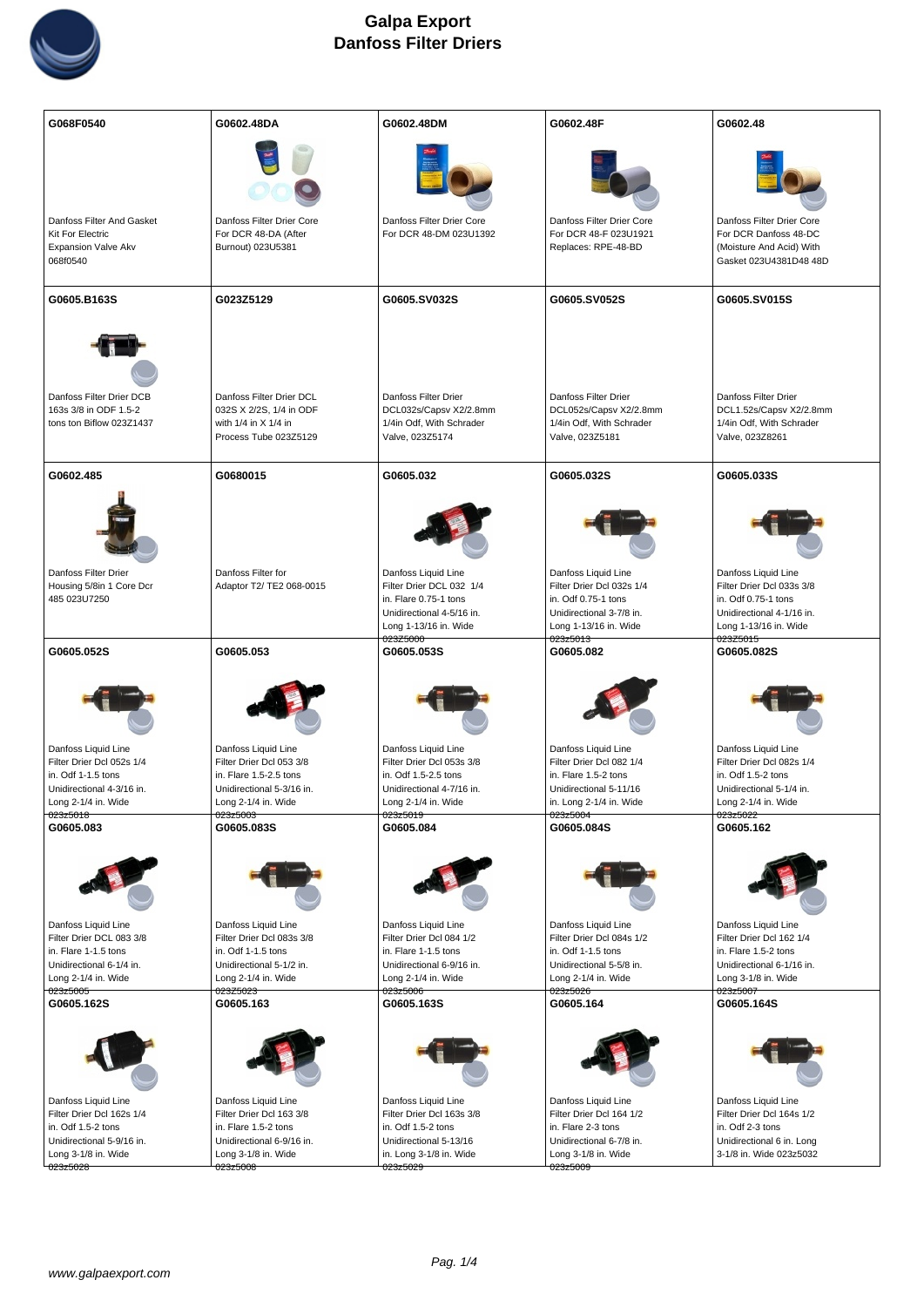

| G068F0540                                                                               | G0602.48DA                                                                                           | G0602.48DM                                                                                    | G0602.48F                                                                                     | G0602.48                                                                                                  |
|-----------------------------------------------------------------------------------------|------------------------------------------------------------------------------------------------------|-----------------------------------------------------------------------------------------------|-----------------------------------------------------------------------------------------------|-----------------------------------------------------------------------------------------------------------|
|                                                                                         |                                                                                                      |                                                                                               |                                                                                               |                                                                                                           |
| Danfoss Filter And Gasket<br><b>Kit For Electric</b><br>Expansion Valve Akv<br>068f0540 | Danfoss Filter Drier Core<br>For DCR 48-DA (After<br>Burnout) 023U5381                               | Danfoss Filter Drier Core<br>For DCR 48-DM 023U1392                                           | Danfoss Filter Drier Core<br>For DCR 48-F 023U1921<br>Replaces: RPE-48-BD                     | Danfoss Filter Drier Core<br>For DCR Danfoss 48-DC<br>(Moisture And Acid) With<br>Gasket 023U4381 D48 48D |
| G0605.B163S                                                                             | G023Z5129                                                                                            | G0605.SV032S                                                                                  | G0605.SV052S                                                                                  | G0605.SV015S                                                                                              |
|                                                                                         |                                                                                                      |                                                                                               |                                                                                               |                                                                                                           |
| Danfoss Filter Drier DCB<br>163s 3/8 in ODF 1.5-2<br>tons ton Biflow 023Z1437           | Danfoss Filter Drier DCL<br>032S X 2/2S, 1/4 in ODF<br>with 1/4 in X 1/4 in<br>Process Tube 023Z5129 | Danfoss Filter Drier<br>DCL032s/Capsv X2/2.8mm<br>1/4in Odf, With Schrader<br>Valve, 023Z5174 | Danfoss Filter Drier<br>DCL052s/Capsv X2/2.8mm<br>1/4in Odf, With Schrader<br>Valve, 023Z5181 | Danfoss Filter Drier<br>DCL1.52s/Capsv X2/2.8mm<br>1/4in Odf, With Schrader<br>Valve, 023Z8261            |
| G0602.485                                                                               | G0680015                                                                                             | G0605.032                                                                                     | G0605.032S                                                                                    | G0605.033S                                                                                                |
|                                                                                         |                                                                                                      |                                                                                               |                                                                                               |                                                                                                           |
| Danfoss Filter Drier<br>Housing 5/8in 1 Core Dcr                                        | Danfoss Filter for<br>Adaptor T2/ TE2 068-0015                                                       | Danfoss Liquid Line<br>Filter Drier DCL 032 1/4                                               | Danfoss Liquid Line<br>Filter Drier Dcl 032s 1/4                                              | Danfoss Liquid Line<br>Filter Drier Dcl 033s 3/8                                                          |
| 485 023U7250                                                                            |                                                                                                      | in. Flare 0.75-1 tons                                                                         | in. Odf 0.75-1 tons                                                                           | in. Odf 0.75-1 tons                                                                                       |
|                                                                                         |                                                                                                      | Unidirectional 4-5/16 in.<br>Long 1-13/16 in. Wide                                            | Unidirectional 3-7/8 in.<br>Long 1-13/16 in. Wide                                             | Unidirectional 4-1/16 in.<br>Long 1-13/16 in. Wide                                                        |
|                                                                                         |                                                                                                      | 023Z5000                                                                                      | 023z5013                                                                                      | 023Z5015                                                                                                  |
| G0605.052S                                                                              | G0605.053                                                                                            | G0605.053S                                                                                    | G0605.082                                                                                     | G0605.082S                                                                                                |
|                                                                                         |                                                                                                      |                                                                                               |                                                                                               |                                                                                                           |
| Danfoss Liquid Line                                                                     | Danfoss Liquid Line                                                                                  | Danfoss Liquid Line                                                                           | Danfoss Liquid Line                                                                           | Danfoss Liquid Line                                                                                       |
| Filter Drier Dcl 052s 1/4<br>in. Odf 1-1.5 tons                                         | Filter Drier Dcl 053 3/8<br>in. Flare 1.5-2.5 tons                                                   | Filter Drier Dcl 053s 3/8<br>in. Odf 1.5-2.5 tons                                             | Filter Drier Dcl 082 1/4<br>in. Flare 1.5-2 tons                                              | Filter Drier Dcl 082s 1/4<br>in. Odf 1.5-2 tons                                                           |
| Unidirectional 4-3/16 in.                                                               | Unidirectional 5-3/16 in.                                                                            | Unidirectional 4-7/16 in.                                                                     | Unidirectional 5-11/16                                                                        | Unidirectional 5-1/4 in.                                                                                  |
| Long 2-1/4 in. Wide<br>023z5018                                                         | Long 2-1/4 in. Wide                                                                                  | Long 2-1/4 in. Wide                                                                           | in. Long 2-1/4 in. Wide<br>023z5004                                                           | Long 2-1/4 in. Wide<br>023z5022                                                                           |
| G0605.083                                                                               | 023z5003 <sup>-</sup><br>G0605.083S                                                                  | <del>023z5019</del><br>G0605.084                                                              | G0605.084S                                                                                    | G0605.162                                                                                                 |
|                                                                                         |                                                                                                      |                                                                                               |                                                                                               |                                                                                                           |
| Danfoss Liquid Line                                                                     | Danfoss Liquid Line                                                                                  | Danfoss Liquid Line                                                                           | Danfoss Liquid Line                                                                           | Danfoss Liquid Line                                                                                       |
| Filter Drier DCL 083 3/8<br>in. Flare 1-1.5 tons                                        | Filter Drier Dcl 083s 3/8<br>in. Odf 1-1.5 tons                                                      | Filter Drier Dcl 084 1/2<br>in. Flare 1-1.5 tons                                              | Filter Drier Dcl 084s 1/2<br>in. Odf 1-1.5 tons                                               | Filter Drier Dcl 162 1/4<br>in. Flare 1.5-2 tons                                                          |
| Unidirectional 6-1/4 in.                                                                | Unidirectional 5-1/2 in.                                                                             | Unidirectional 6-9/16 in.                                                                     | Unidirectional 5-5/8 in.                                                                      | Unidirectional 6-1/16 in.                                                                                 |
| Long 2-1/4 in. Wide<br>023z5005                                                         | Long 2-1/4 in. Wide<br>023Z5023                                                                      | Long 2-1/4 in. Wide<br>023z5006                                                               | Long 2-1/4 in. Wide<br>023z5026                                                               | Long 3-1/8 in. Wide<br>023z5007                                                                           |
| G0605.162S                                                                              | G0605.163                                                                                            | G0605.163S                                                                                    | G0605.164                                                                                     | G0605.164S                                                                                                |
|                                                                                         |                                                                                                      |                                                                                               |                                                                                               |                                                                                                           |
| Danfoss Liquid Line                                                                     | Danfoss Liquid Line                                                                                  | Danfoss Liquid Line                                                                           | Danfoss Liquid Line                                                                           | Danfoss Liquid Line                                                                                       |
| Filter Drier Dcl 162s 1/4<br>in. Odf 1.5-2 tons                                         | Filter Drier Dcl 163 3/8<br>in. Flare 1.5-2 tons                                                     | Filter Drier Dcl 163s 3/8<br>in. Odf 1.5-2 tons                                               | Filter Drier Dcl 164 1/2<br>in. Flare 2-3 tons                                                | Filter Drier Dcl 164s 1/2<br>in. Odf 2-3 tons                                                             |
| Unidirectional 5-9/16 in.                                                               | Unidirectional 6-9/16 in.                                                                            | Unidirectional 5-13/16                                                                        | Unidirectional 6-7/8 in.                                                                      | Unidirectional 6 in. Long                                                                                 |
| Long 3-1/8 in. Wide                                                                     | Long 3-1/8 in. Wide<br>023z5008                                                                      | in. Long 3-1/8 in. Wide<br>023z5029                                                           | Long 3-1/8 in. Wide<br>023z5009                                                               | 3-1/8 in. Wide 023z5032                                                                                   |
| 023z5028                                                                                |                                                                                                      |                                                                                               |                                                                                               |                                                                                                           |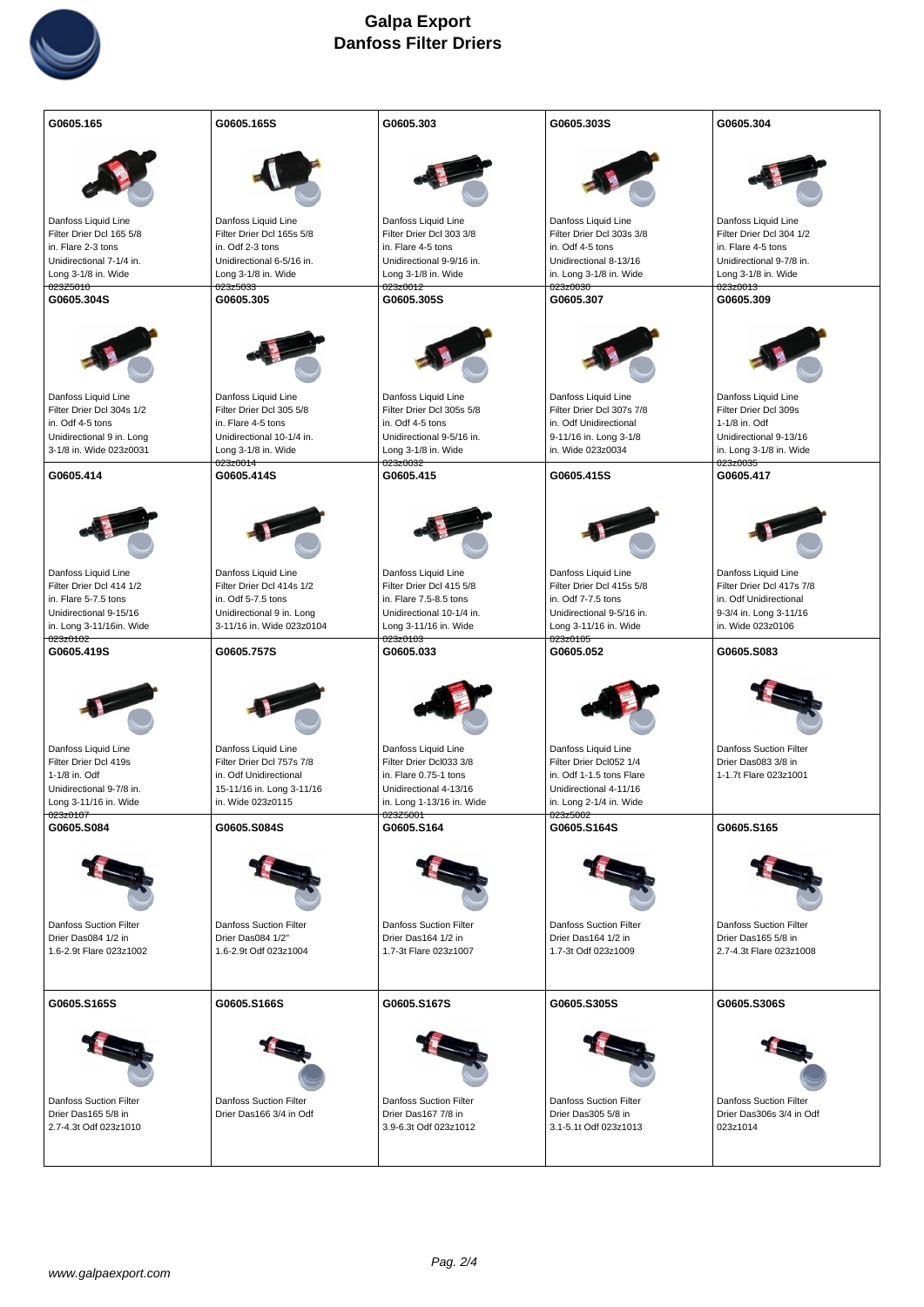

| G0605.165                                                                                                                     | G0605.165S                                                                                                                       | G0605.303                                                                                                                       | G0605.303S                                                                                                                      | G0605.304                                                                                                                 |
|-------------------------------------------------------------------------------------------------------------------------------|----------------------------------------------------------------------------------------------------------------------------------|---------------------------------------------------------------------------------------------------------------------------------|---------------------------------------------------------------------------------------------------------------------------------|---------------------------------------------------------------------------------------------------------------------------|
|                                                                                                                               |                                                                                                                                  |                                                                                                                                 |                                                                                                                                 |                                                                                                                           |
| Danfoss Liquid Line<br>Filter Drier Dcl 165 5/8                                                                               | Danfoss Liquid Line                                                                                                              | Danfoss Liquid Line                                                                                                             | Danfoss Liquid Line<br>Filter Drier Dcl 303s 3/8                                                                                | Danfoss Liquid Line                                                                                                       |
| in. Flare 2-3 tons                                                                                                            | Filter Drier Dcl 165s 5/8<br>in. Odf 2-3 tons                                                                                    | Filter Drier Dcl 303 3/8<br>in. Flare 4-5 tons                                                                                  | in. Odf 4-5 tons                                                                                                                | Filter Drier Dcl 304 1/2<br>in. Flare 4-5 tons                                                                            |
| Unidirectional 7-1/4 in.                                                                                                      | Unidirectional 6-5/16 in.                                                                                                        | Unidirectional 9-9/16 in.                                                                                                       | Unidirectional 8-13/16                                                                                                          | Unidirectional 9-7/8 in.                                                                                                  |
| Long 3-1/8 in. Wide<br>023Z5010                                                                                               | Long 3-1/8 in. Wide                                                                                                              | Long 3-1/8 in. Wide                                                                                                             | in. Long 3-1/8 in. Wide<br>023z0030                                                                                             | Long 3-1/8 in. Wide<br>023z0013                                                                                           |
| G0605.304S                                                                                                                    | 023z5033<br>G0605.305                                                                                                            | <del>023z0012</del><br>G0605.305S                                                                                               | G0605.307                                                                                                                       | G0605.309                                                                                                                 |
|                                                                                                                               |                                                                                                                                  |                                                                                                                                 |                                                                                                                                 |                                                                                                                           |
| Danfoss Liquid Line                                                                                                           | Danfoss Liquid Line                                                                                                              | Danfoss Liquid Line                                                                                                             | Danfoss Liquid Line                                                                                                             | Danfoss Liquid Line                                                                                                       |
| Filter Drier Dcl 304s 1/2<br>in. Odf 4-5 tons                                                                                 | Filter Drier Dcl 305 5/8<br>in. Flare 4-5 tons                                                                                   | Filter Drier Dcl 305s 5/8<br>in. Odf 4-5 tons                                                                                   | Filter Drier Dcl 307s 7/8<br>in. Odf Unidirectional                                                                             | Filter Drier Dcl 309s<br>1-1/8 in. Odf                                                                                    |
| Unidirectional 9 in. Long                                                                                                     | Unidirectional 10-1/4 in.                                                                                                        | Unidirectional 9-5/16 in.                                                                                                       | 9-11/16 in. Long 3-1/8                                                                                                          | Unidirectional 9-13/16                                                                                                    |
| 3-1/8 in. Wide 023z0031                                                                                                       | Long 3-1/8 in. Wide                                                                                                              | Long 3-1/8 in. Wide                                                                                                             | in. Wide 023z0034                                                                                                               | in. Long 3-1/8 in. Wide                                                                                                   |
| G0605.414                                                                                                                     | 023z0014<br>G0605.414S                                                                                                           | <del>023z0032</del><br>G0605.415                                                                                                | G0605.415S                                                                                                                      | 023z0035<br>G0605.417                                                                                                     |
| Danfoss Liquid Line<br>Filter Drier Dcl 414 1/2<br>in. Flare 5-7.5 tons<br>Unidirectional 9-15/16<br>in. Long 3-11/16in. Wide | Danfoss Liquid Line<br>Filter Drier Dcl 414s 1/2<br>in. Odf 5-7.5 tons<br>Unidirectional 9 in. Long<br>3-11/16 in. Wide 023z0104 | Danfoss Liquid Line<br>Filter Drier Dcl 415 5/8<br>in. Flare 7.5-8.5 tons<br>Unidirectional 10-1/4 in.<br>Long 3-11/16 in. Wide | Danfoss Liquid Line<br>Filter Drier Dcl 415s 5/8<br>in. Odf 7-7.5 tons<br>Unidirectional 9-5/16 in.<br>Long 3-11/16 in. Wide    | Danfoss Liquid Line<br>Filter Drier Dcl 417s 7/8<br>in. Odf Unidirectional<br>9-3/4 in. Long 3-11/16<br>in. Wide 023z0106 |
| 023z0102<br>G0605.419S                                                                                                        |                                                                                                                                  | 023z0103                                                                                                                        | 023z0105                                                                                                                        |                                                                                                                           |
|                                                                                                                               | G0605.757S                                                                                                                       | G0605.033                                                                                                                       | G0605.052                                                                                                                       | G0605.S083                                                                                                                |
| Danfoss Liquid Line<br>Filter Drier Dcl 419s<br>1-1/8 in. Odf<br>Unidirectional 9-7/8 in.<br>Long 3-11/16 in. Wide            | Danfoss Liquid Line<br>Filter Drier Dcl 757s 7/8<br>in. Odf Unidirectional<br>15-11/16 in. Long 3-11/16<br>in. Wide 023z0115     | Danfoss Liquid Line<br>Filter Drier Dcl033 3/8<br>in. Flare 0.75-1 tons<br>Unidirectional 4-13/16<br>in. Long 1-13/16 in. Wide  | Danfoss Liquid Line<br>Filter Drier Dcl052 1/4<br>in. Odf 1-1.5 tons Flare<br>Unidirectional 4-11/16<br>in. Long 2-1/4 in. Wide | <b>Danfoss Suction Filter</b><br>Drier Das083 3/8 in<br>1-1.7t Flare 023z1001                                             |
| 023z0107<br>G0605.S084                                                                                                        | G0605.S084S                                                                                                                      | 023Z5001<br>G0605.S164                                                                                                          | 023z5002<br>G0605.S164S                                                                                                         | G0605.S165                                                                                                                |
| Danfoss Suction Filter<br>Drier Das084 1/2 in<br>1.6-2.9t Flare 023z1002                                                      | Danfoss Suction Filter<br>Drier Das084 1/2"<br>1.6-2.9t Odf 023z1004                                                             | Danfoss Suction Filter<br>Drier Das164 1/2 in<br>1.7-3t Flare 023z1007                                                          | Danfoss Suction Filter<br>Drier Das164 1/2 in<br>1.7-3t Odf 023z1009                                                            | Danfoss Suction Filter<br>Drier Das165 5/8 in<br>2.7-4.3t Flare 023z1008                                                  |
|                                                                                                                               |                                                                                                                                  |                                                                                                                                 |                                                                                                                                 |                                                                                                                           |
| G0605.S165S<br><b>Danfoss Suction Filter</b><br>Drier Das165 5/8 in<br>2.7-4.3t Odf 023z1010                                  | G0605.S166S<br><b>Danfoss Suction Filter</b><br>Drier Das166 3/4 in Odf                                                          | G0605.S167S<br><b>Danfoss Suction Filter</b><br>Drier Das167 7/8 in<br>3.9-6.3t Odf 023z1012                                    | G0605.S305S<br><b>Danfoss Suction Filter</b><br>Drier Das305 5/8 in<br>3.1-5.1t Odf 023z1013                                    | G0605.S306S<br><b>Danfoss Suction Filter</b><br>Drier Das306s 3/4 in Odf<br>023z1014                                      |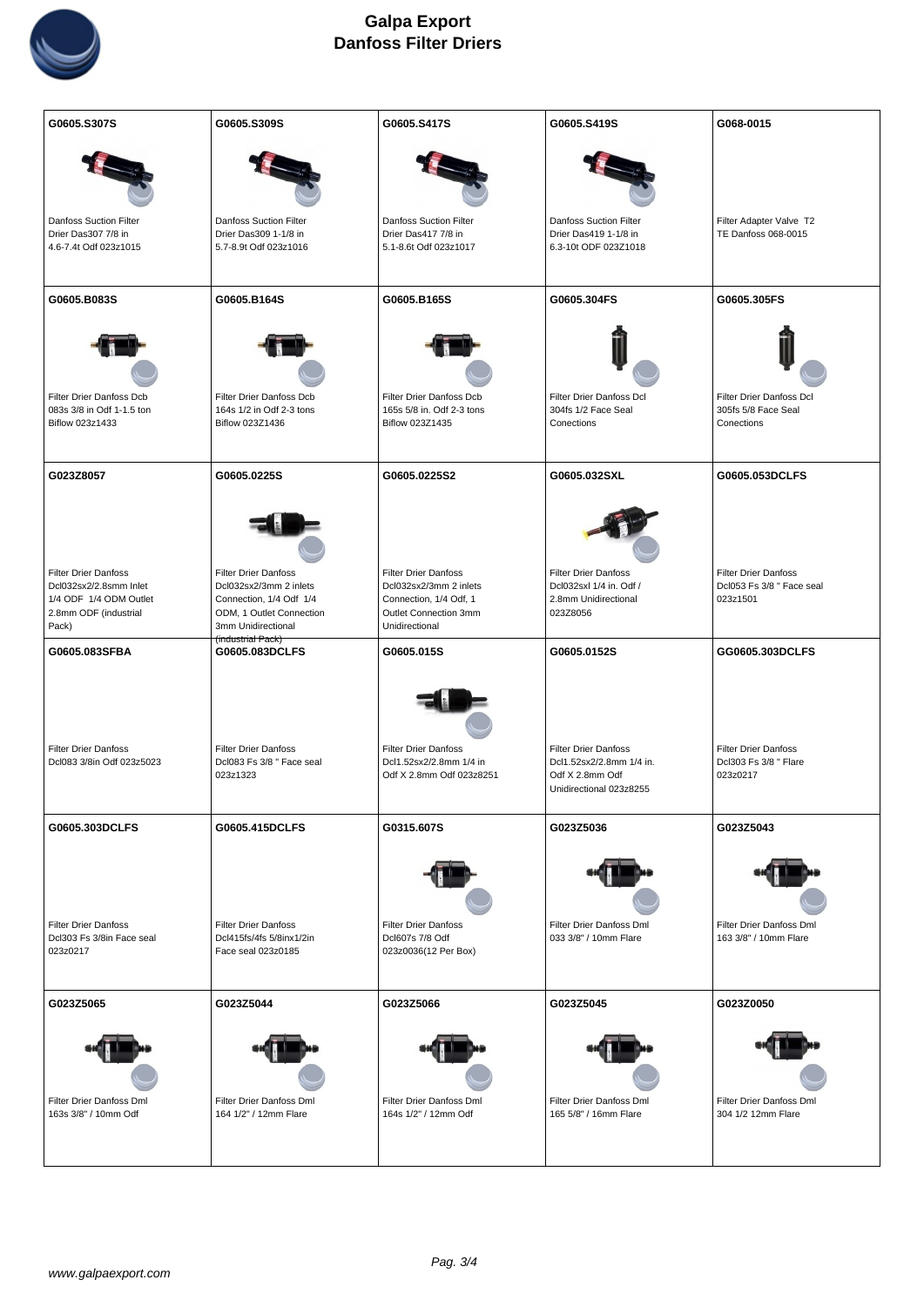

| G0605.S307S                                                          | G0605.S309S                                                                   | G0605.S417S                                                                        | G0605.S419S                                                                                           | G068-0015                                                        |
|----------------------------------------------------------------------|-------------------------------------------------------------------------------|------------------------------------------------------------------------------------|-------------------------------------------------------------------------------------------------------|------------------------------------------------------------------|
|                                                                      |                                                                               |                                                                                    |                                                                                                       |                                                                  |
| <b>Danfoss Suction Filter</b>                                        | <b>Danfoss Suction Filter</b>                                                 | Danfoss Suction Filter                                                             | <b>Danfoss Suction Filter</b>                                                                         | Filter Adapter Valve T2                                          |
| Drier Das307 7/8 in                                                  | Drier Das309 1-1/8 in                                                         | Drier Das417 7/8 in                                                                | Drier Das419 1-1/8 in                                                                                 | TE Danfoss 068-0015                                              |
| 4.6-7.4t Odf 023z1015                                                | 5.7-8.9t Odf 023z1016                                                         | 5.1-8.6t Odf 023z1017                                                              | 6.3-10t ODF 023Z1018                                                                                  |                                                                  |
| G0605.B083S                                                          | G0605.B164S                                                                   | G0605.B165S                                                                        | G0605.304FS                                                                                           | G0605.305FS                                                      |
|                                                                      |                                                                               |                                                                                    |                                                                                                       |                                                                  |
| Filter Drier Danfoss Dcb<br>083s 3/8 in Odf 1-1.5 ton                | Filter Drier Danfoss Dcb<br>164s 1/2 in Odf 2-3 tons                          | Filter Drier Danfoss Dcb<br>165s 5/8 in. Odf 2-3 tons                              | Filter Drier Danfoss Dcl<br>304fs 1/2 Face Seal                                                       | Filter Drier Danfoss Dcl<br>305fs 5/8 Face Seal                  |
| Biflow 023z1433                                                      | Biflow 023Z1436                                                               | Biflow 023Z1435                                                                    | Conections                                                                                            | Conections                                                       |
|                                                                      |                                                                               |                                                                                    |                                                                                                       |                                                                  |
| G023Z8057                                                            | G0605.0225S                                                                   | G0605.0225S2                                                                       | G0605.032SXL                                                                                          | G0605.053DCLFS                                                   |
|                                                                      |                                                                               | <b>Filter Drier Danfoss</b>                                                        |                                                                                                       |                                                                  |
| <b>Filter Drier Danfoss</b><br>Dcl032sx2/2.8smm Inlet                | <b>Filter Drier Danfoss</b><br>Dcl032sx2/3mm 2 inlets                         | Dcl032sx2/3mm 2 inlets                                                             | <b>Filter Drier Danfoss</b><br>Dcl032sxl 1/4 in. Odf /                                                | <b>Filter Drier Danfoss</b><br>Dcl053 Fs 3/8 " Face seal         |
| 1/4 ODF 1/4 ODM Outlet                                               | Connection, 1/4 Odf 1/4                                                       | Connection, 1/4 Odf, 1                                                             | 2.8mm Unidirectional                                                                                  | 023z1501                                                         |
| 2.8mm ODF (industrial                                                | ODM, 1 Outlet Connection                                                      | Outlet Connection 3mm                                                              | 023Z8056                                                                                              |                                                                  |
| Pack)                                                                | 3mm Unidirectional<br>(industrial Pack)                                       | Unidirectional                                                                     |                                                                                                       |                                                                  |
| G0605.083SFBA                                                        |                                                                               |                                                                                    |                                                                                                       |                                                                  |
|                                                                      | G0605.083DCLFS                                                                | G0605.015S                                                                         | G0605.0152S                                                                                           | GG0605.303DCLFS                                                  |
| <b>Filter Drier Danfoss</b><br>Dcl083 3/8in Odf 023z5023             | <b>Filter Drier Danfoss</b><br>Dcl083 Fs 3/8 " Face seal<br>023z1323          | <b>Filter Drier Danfoss</b><br>Dcl1.52sx2/2.8mm 1/4 in<br>Odf X 2.8mm Odf 023z8251 | <b>Filter Drier Danfoss</b><br>Dcl1.52sx2/2.8mm 1/4 in.<br>Odf X 2.8mm Odf<br>Unidirectional 023z8255 | <b>Filter Drier Danfoss</b><br>Dcl303 Fs 3/8 " Flare<br>023z0217 |
| G0605.303DCLFS                                                       | G0605.415DCLFS                                                                | G0315.607S                                                                         | G023Z5036                                                                                             | G023Z5043                                                        |
| <b>Filter Drier Danfoss</b><br>Dcl303 Fs 3/8in Face seal<br>023z0217 | <b>Filter Drier Danfoss</b><br>Dcl415fs/4fs 5/8inx1/2in<br>Face seal 023z0185 | <b>Filter Drier Danfoss</b><br>Dcl607s 7/8 Odf<br>023z0036 (12 Per Box)            | Filter Drier Danfoss Dml<br>033 3/8" / 10mm Flare                                                     | Filter Drier Danfoss Dml<br>163 3/8" / 10mm Flare                |
| G023Z5065                                                            | G023Z5044                                                                     | G023Z5066                                                                          | G023Z5045                                                                                             | G023Z0050                                                        |
| Filter Drier Danfoss Dml<br>163s 3/8" / 10mm Odf                     | Filter Drier Danfoss Dml<br>164 1/2" / 12mm Flare                             | Filter Drier Danfoss Dml<br>164s 1/2" / 12mm Odf                                   | Filter Drier Danfoss Dml<br>165 5/8" / 16mm Flare                                                     | Filter Drier Danfoss Dml<br>304 1/2 12mm Flare                   |